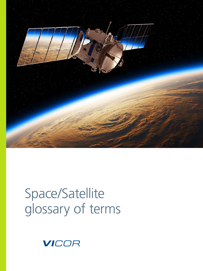

# Space/Satellite glossary of terms

VICOR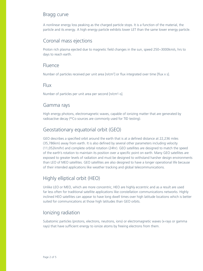## Bragg curve

A nonlinear energy loss peaking as the charged particle stops. It is a function of the material, the particle and its energy. A high energy particle exhibits lower LET than the same lower energy particle.

## Coronal mass ejections

Proton rich plasma ejected due to magnetic field changes in the sun, speed 250~3000km/s, hrs to days to reach earth.

#### Fluence

Number of particles received per unit area [n/cm<sup>2</sup>] or flux integrated over time [flux x s].

#### Flux

Number of particles per unit area per second [n/cm<sup>2</sup>-s].

#### Gamma rays

High energy photons, electromagnetic waves, capable of ionizing matter that are generated by radioactive decay (<sup>60</sup>Co sources are commonly used for TID testing).

# Geostationary equatorial orbit (GEO)

GEO describes a specified orbit around the earth that is at a defined distance at 22,236 miles (35,786km) away from earth. It is also defined by several other parameters including velocity (11,052km/hr) and complete orbital rotation (24hr). GEO satellites are designed to match the speed of the earth's rotation to maintain its position over a specific point on earth. Many GEO satellites are exposed to greater levels of radiation and must be designed to withstand harsher design environments than LEO of MEO satellites. GEO satellites are also designed to have a longer operational life because of their intended applications like weather tracking and global telecommunications.

# Highly elliptical orbit (HEO)

Unlike LEO or MEO, which are more concentric, HEO are highly eccentric and as a result are used far less often for traditional satellite applications like constellation communications networks. Highly inclined HEO satellites can appear to have long dwell times over high latitude locations which is better suited for communications at those high latitudes than GEO orbits.

# Ionizing radiation

Subatomic particles (protons, electrons, neutrons, ions) or electromagnetic waves (x-rays or gamma rays) that have sufficient energy to ionize atoms by freeing electrons from them.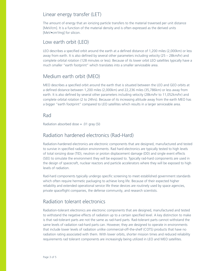## Linear energy transfer (LET)

The amount of energy that an ionizing particle transfers to the material traversed per unit distance [MeV/cm]. It is a function of the material density and is often expressed as the derived units [MeV•cm2 /mg] for silicon.

### Low earth orbit (LEO)

LEO describes a specified orbit around the earth at a defined distance of 1,200 miles (2,000km) or less away from earth. It is also defined by several other parameters including velocity (25 – 28km/hr) and complete orbital rotation (128 minutes or less). Because of its lower orbit LEO satellites typically have a much smaller "earth footprint" which translates into a smaller serviceable area.

# Medium earth orbit (MEO)

MEO describes a specified orbit around the earth that is situated between the LEO and GEO orbits at a defined distance between 1,200 miles (2,000km) and 22,236 miles (35,786km) or less away from earth. It is also defined by several other parameters including velocity (28km/hr to 11,052km/hr) and complete orbital rotation (2 to 24hrs). Because of its increasing altitude away from the earth MEO has a bigger "earth footprint" compared to LEO satellites which results in a larger serviceable area.

#### Rad

Radiation absorbed dose = .01 gray (SI)

#### Radiation hardened electronics (Rad-Hard)

Radiation-hardened electronics are electronic components that are designed, manufactured and tested to survive in specified radiation environments. Rad hard electronics are typically tested to high levels of total ionizing dose (TID), neutron or proton displacement damage (DD) and single event effects (SEE) to simulate the environment they will be exposed to. Typically rad-hard components are used in the design of spacecraft, nuclear reactors and particle accelerators where they will be exposed to high levels of radiation.

Rad-hard components typically undergo specific screening to meet established government standards which often require hermetic packaging to achieve long life. Because of their expected higher reliability and extended operational service life these devices are routinely used by space agencies, private spaceflight companies, the defense community, and research scientists.

#### Radiation tolerant electronics

Radiation-tolerant electronics are electronic components that are designed, manufactured and tested to withstand the negative effects of radiation up to a certain specified level. A key distinction to make is that rad-tolerant parts are not the same as rad-hard parts. Rad-tolerant parts cannot withstand the same levels of radiation rad-hard parts can. However, they are designed to operate in environments that include lower levels of radiation unlike commercial-off-the-shelf (COTS) products that have no radiation rating associated with them. With lower orbits, shorter mission times and reduced reliability requirements rad tolerant components are increasingly being utilized in LEO and MEO satellites.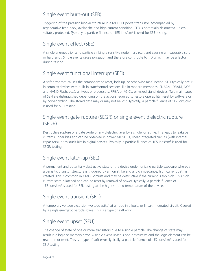## Single event burn-out (SEB)

Triggering of the parasitic bipolar structure in a MOSFET power transistor, accompanied by regenerative feed-back, avalanche and high current condition. SEB is potentially destructive unless suitably protected. Typically, a particle fluence of 1E5 ions/cm<sup>2</sup> is used for SEB testing.

# Single event effect (SEE)

A single energetic ionizing particle striking a sensitive node in a circuit and causing a measurable soft or hard error. Single events cause ionization and therefore contribute to TID which may be a factor during testing.

# Single event functional interrupt (SEFI)

A soft error that causes the component to reset, lock-up, or otherwise malfunction. SEFI typically occur in complex devices with built-in state/control sections like in modern memories (SDRAM, DRAM, NORand NAND-Flash, etc.), all types of processors, FPGA or ASICs, or mixed-signal devices. Two main types of SEFI are distinguished depending on the actions required to restore operability: reset by software or by power cycling. The stored data may or may not be lost. Typically, a particle fluence of 1E7 ions/cm<sup>2</sup> is used for SEFI testing.

# Single event gate rupture (SEGR) or single event dielectric rupture (SEDR)

Destructive rupture of a gate oxide or any dielectric layer by a single ion strike. This leads to leakage currents under bias and can be observed in power MOSFETs, linear integrated circuits (with internal capacitors), or as stuck bits in digital devices. Typically, a particle fluence of 1E5 ions/cm<sup>2</sup> is used for SEGR testing.

# Single event latch-up (SEL)

A permanent and potentially destructive state of the device under ionizing particle exposure whereby a parasitic thyristor structure is triggered by an ion strike and a low impedance, high current path is created. This is common in CMOS circuits and may be destructive if the current is too high. This high current state is latched and can be reset by removal of power. Typically, a particle fluence of 1E5 ions/ $\text{cm}^2$  is used for SEL testing at the highest rated temperature of the device.

## Single event transient (SET)

A temporary voltage excursion (voltage spike) at a node in a logic, or linear, integrated circuit. Caused by a single energetic particle strike. This is a type of soft error.

## Single event upset (SEU)

The change of state of one or more transistors due to a single particle. The change of state may result in a logic or memory error. A single event upset is non-destructive and the logic element can be rewritten or reset. This is a type of soft error. Typically, a particle fluence of 1E7 ions/cm<sup>2</sup> is used for SEU testing.